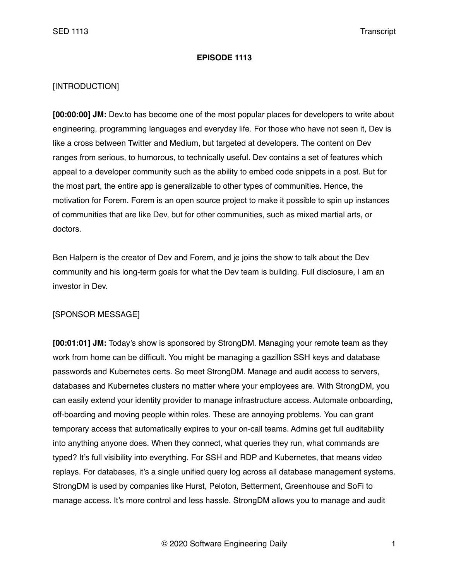### **EPISODE 1113**

## [INTRODUCTION]

**[00:00:00] JM:** Dev.to has become one of the most popular places for developers to write about engineering, programming languages and everyday life. For those who have not seen it, Dev is like a cross between Twitter and Medium, but targeted at developers. The content on Dev ranges from serious, to humorous, to technically useful. Dev contains a set of features which appeal to a developer community such as the ability to embed code snippets in a post. But for the most part, the entire app is generalizable to other types of communities. Hence, the motivation for Forem. Forem is an open source project to make it possible to spin up instances of communities that are like Dev, but for other communities, such as mixed martial arts, or doctors.

Ben Halpern is the creator of Dev and Forem, and je joins the show to talk about the Dev community and his long-term goals for what the Dev team is building. Full disclosure, I am an investor in Dev.

### [SPONSOR MESSAGE]

**[00:01:01] JM:** Today's show is sponsored by StrongDM. Managing your remote team as they work from home can be difficult. You might be managing a gazillion SSH keys and database passwords and Kubernetes certs. So meet StrongDM. Manage and audit access to servers, databases and Kubernetes clusters no matter where your employees are. With StrongDM, you can easily extend your identity provider to manage infrastructure access. Automate onboarding, off-boarding and moving people within roles. These are annoying problems. You can grant temporary access that automatically expires to your on-call teams. Admins get full auditability into anything anyone does. When they connect, what queries they run, what commands are typed? It's full visibility into everything. For SSH and RDP and Kubernetes, that means video replays. For databases, it's a single unified query log across all database management systems. StrongDM is used by companies like Hurst, Peloton, Betterment, Greenhouse and SoFi to manage access. It's more control and less hassle. StrongDM allows you to manage and audit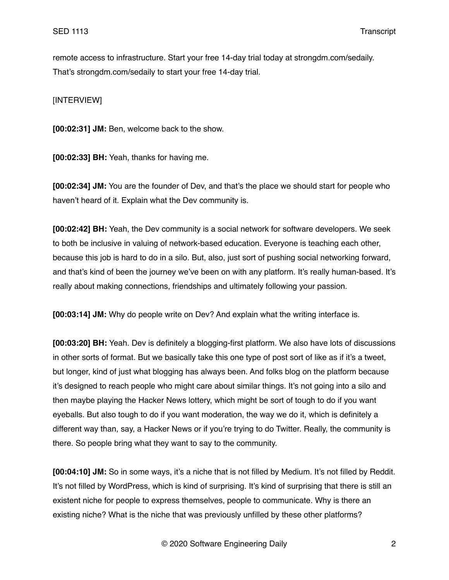remote access to infrastructure. Start your free 14-day trial today at strongdm.com/sedaily. That's strongdm.com/sedaily to start your free 14-day trial.

[INTERVIEW]

**[00:02:31] JM:** Ben, welcome back to the show.

**[00:02:33] BH:** Yeah, thanks for having me.

**[00:02:34] JM:** You are the founder of Dev, and that's the place we should start for people who haven't heard of it. Explain what the Dev community is.

**[00:02:42] BH:** Yeah, the Dev community is a social network for software developers. We seek to both be inclusive in valuing of network-based education. Everyone is teaching each other, because this job is hard to do in a silo. But, also, just sort of pushing social networking forward, and that's kind of been the journey we've been on with any platform. It's really human-based. It's really about making connections, friendships and ultimately following your passion.

**[00:03:14] JM:** Why do people write on Dev? And explain what the writing interface is.

**[00:03:20] BH:** Yeah. Dev is definitely a blogging-first platform. We also have lots of discussions in other sorts of format. But we basically take this one type of post sort of like as if it's a tweet, but longer, kind of just what blogging has always been. And folks blog on the platform because it's designed to reach people who might care about similar things. It's not going into a silo and then maybe playing the Hacker News lottery, which might be sort of tough to do if you want eyeballs. But also tough to do if you want moderation, the way we do it, which is definitely a different way than, say, a Hacker News or if you're trying to do Twitter. Really, the community is there. So people bring what they want to say to the community.

**[00:04:10] JM:** So in some ways, it's a niche that is not filled by Medium. It's not filled by Reddit. It's not filled by WordPress, which is kind of surprising. It's kind of surprising that there is still an existent niche for people to express themselves, people to communicate. Why is there an existing niche? What is the niche that was previously unfilled by these other platforms?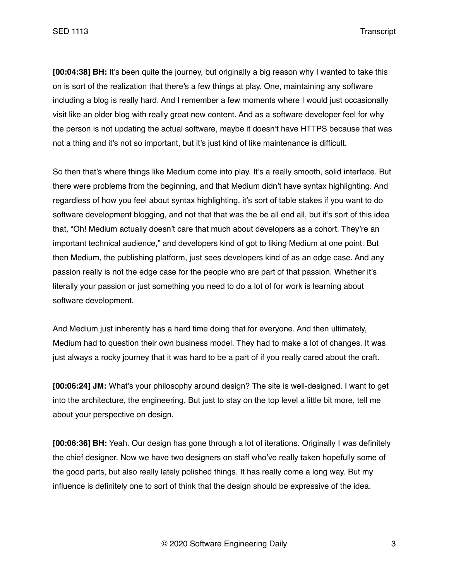**[00:04:38] BH:** It's been quite the journey, but originally a big reason why I wanted to take this on is sort of the realization that there's a few things at play. One, maintaining any software including a blog is really hard. And I remember a few moments where I would just occasionally visit like an older blog with really great new content. And as a software developer feel for why the person is not updating the actual software, maybe it doesn't have HTTPS because that was not a thing and it's not so important, but it's just kind of like maintenance is difficult.

So then that's where things like Medium come into play. It's a really smooth, solid interface. But there were problems from the beginning, and that Medium didn't have syntax highlighting. And regardless of how you feel about syntax highlighting, it's sort of table stakes if you want to do software development blogging, and not that that was the be all end all, but it's sort of this idea that, "Oh! Medium actually doesn't care that much about developers as a cohort. They're an important technical audience," and developers kind of got to liking Medium at one point. But then Medium, the publishing platform, just sees developers kind of as an edge case. And any passion really is not the edge case for the people who are part of that passion. Whether it's literally your passion or just something you need to do a lot of for work is learning about software development.

And Medium just inherently has a hard time doing that for everyone. And then ultimately, Medium had to question their own business model. They had to make a lot of changes. It was just always a rocky journey that it was hard to be a part of if you really cared about the craft.

**[00:06:24] JM:** What's your philosophy around design? The site is well-designed. I want to get into the architecture, the engineering. But just to stay on the top level a little bit more, tell me about your perspective on design.

**[00:06:36] BH:** Yeah. Our design has gone through a lot of iterations. Originally I was definitely the chief designer. Now we have two designers on staff who've really taken hopefully some of the good parts, but also really lately polished things. It has really come a long way. But my influence is definitely one to sort of think that the design should be expressive of the idea.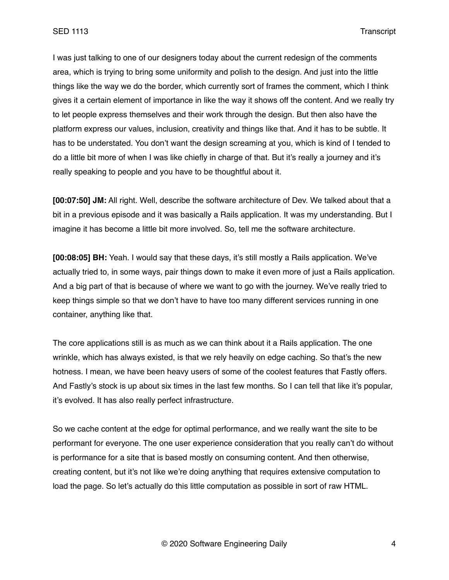I was just talking to one of our designers today about the current redesign of the comments area, which is trying to bring some uniformity and polish to the design. And just into the little things like the way we do the border, which currently sort of frames the comment, which I think gives it a certain element of importance in like the way it shows off the content. And we really try to let people express themselves and their work through the design. But then also have the platform express our values, inclusion, creativity and things like that. And it has to be subtle. It has to be understated. You don't want the design screaming at you, which is kind of I tended to do a little bit more of when I was like chiefly in charge of that. But it's really a journey and it's really speaking to people and you have to be thoughtful about it.

**[00:07:50] JM:** All right. Well, describe the software architecture of Dev. We talked about that a bit in a previous episode and it was basically a Rails application. It was my understanding. But I imagine it has become a little bit more involved. So, tell me the software architecture.

**[00:08:05] BH:** Yeah. I would say that these days, it's still mostly a Rails application. We've actually tried to, in some ways, pair things down to make it even more of just a Rails application. And a big part of that is because of where we want to go with the journey. We've really tried to keep things simple so that we don't have to have too many different services running in one container, anything like that.

The core applications still is as much as we can think about it a Rails application. The one wrinkle, which has always existed, is that we rely heavily on edge caching. So that's the new hotness. I mean, we have been heavy users of some of the coolest features that Fastly offers. And Fastly's stock is up about six times in the last few months. So I can tell that like it's popular, it's evolved. It has also really perfect infrastructure.

So we cache content at the edge for optimal performance, and we really want the site to be performant for everyone. The one user experience consideration that you really can't do without is performance for a site that is based mostly on consuming content. And then otherwise, creating content, but it's not like we're doing anything that requires extensive computation to load the page. So let's actually do this little computation as possible in sort of raw HTML.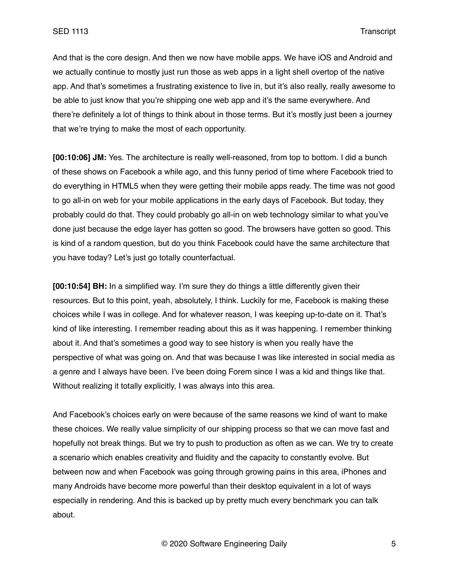And that is the core design. And then we now have mobile apps. We have iOS and Android and we actually continue to mostly just run those as web apps in a light shell overtop of the native app. And that's sometimes a frustrating existence to live in, but it's also really, really awesome to be able to just know that you're shipping one web app and it's the same everywhere. And there're definitely a lot of things to think about in those terms. But it's mostly just been a journey that we're trying to make the most of each opportunity.

**[00:10:06] JM:** Yes. The architecture is really well-reasoned, from top to bottom. I did a bunch of these shows on Facebook a while ago, and this funny period of time where Facebook tried to do everything in HTML5 when they were getting their mobile apps ready. The time was not good to go all-in on web for your mobile applications in the early days of Facebook. But today, they probably could do that. They could probably go all-in on web technology similar to what you've done just because the edge layer has gotten so good. The browsers have gotten so good. This is kind of a random question, but do you think Facebook could have the same architecture that you have today? Let's just go totally counterfactual.

**[00:10:54] BH:** In a simplified way. I'm sure they do things a little differently given their resources. But to this point, yeah, absolutely, I think. Luckily for me, Facebook is making these choices while I was in college. And for whatever reason, I was keeping up-to-date on it. That's kind of like interesting. I remember reading about this as it was happening. I remember thinking about it. And that's sometimes a good way to see history is when you really have the perspective of what was going on. And that was because I was like interested in social media as a genre and I always have been. I've been doing Forem since I was a kid and things like that. Without realizing it totally explicitly, I was always into this area.

And Facebook's choices early on were because of the same reasons we kind of want to make these choices. We really value simplicity of our shipping process so that we can move fast and hopefully not break things. But we try to push to production as often as we can. We try to create a scenario which enables creativity and fluidity and the capacity to constantly evolve. But between now and when Facebook was going through growing pains in this area, iPhones and many Androids have become more powerful than their desktop equivalent in a lot of ways especially in rendering. And this is backed up by pretty much every benchmark you can talk about.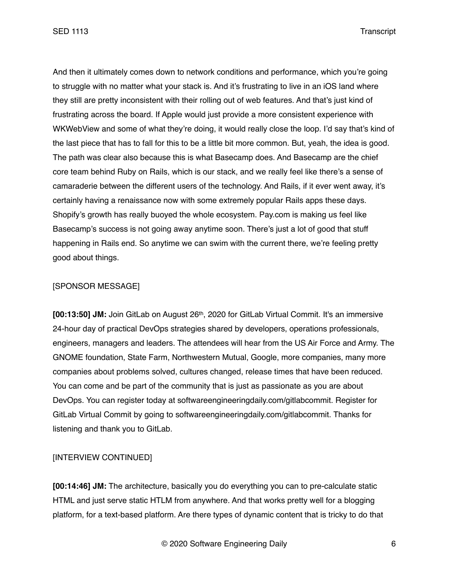And then it ultimately comes down to network conditions and performance, which you're going to struggle with no matter what your stack is. And it's frustrating to live in an iOS land where they still are pretty inconsistent with their rolling out of web features. And that's just kind of frustrating across the board. If Apple would just provide a more consistent experience with WKWebView and some of what they're doing, it would really close the loop. I'd say that's kind of the last piece that has to fall for this to be a little bit more common. But, yeah, the idea is good. The path was clear also because this is what Basecamp does. And Basecamp are the chief core team behind Ruby on Rails, which is our stack, and we really feel like there's a sense of camaraderie between the different users of the technology. And Rails, if it ever went away, it's certainly having a renaissance now with some extremely popular Rails apps these days. Shopify's growth has really buoyed the whole ecosystem. Pay.com is making us feel like Basecamp's success is not going away anytime soon. There's just a lot of good that stuff happening in Rails end. So anytime we can swim with the current there, we're feeling pretty good about things.

### [SPONSOR MESSAGE]

**[00:13:50] JM:** Join GitLab on August 26th, 2020 for GitLab Virtual Commit. It's an immersive 24-hour day of practical DevOps strategies shared by developers, operations professionals, engineers, managers and leaders. The attendees will hear from the US Air Force and Army. The GNOME foundation, State Farm, Northwestern Mutual, Google, more companies, many more companies about problems solved, cultures changed, release times that have been reduced. You can come and be part of the community that is just as passionate as you are about DevOps. You can register today at softwareengineeringdaily.com/gitlabcommit. Register for GitLab Virtual Commit by going to softwareengineeringdaily.com/gitlabcommit. Thanks for listening and thank you to GitLab.

# [INTERVIEW CONTINUED]

**[00:14:46] JM:** The architecture, basically you do everything you can to pre-calculate static HTML and just serve static HTLM from anywhere. And that works pretty well for a blogging platform, for a text-based platform. Are there types of dynamic content that is tricky to do that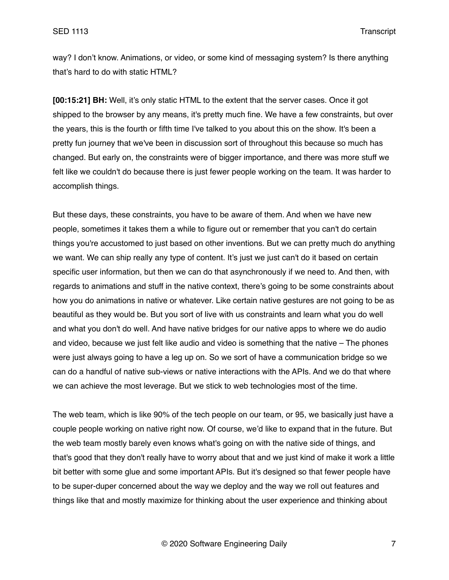way? I don't know. Animations, or video, or some kind of messaging system? Is there anything that's hard to do with static HTML?

**[00:15:21] BH:** Well, it's only static HTML to the extent that the server cases. Once it got shipped to the browser by any means, it's pretty much fine. We have a few constraints, but over the years, this is the fourth or fifth time I've talked to you about this on the show. It's been a pretty fun journey that we've been in discussion sort of throughout this because so much has changed. But early on, the constraints were of bigger importance, and there was more stuff we felt like we couldn't do because there is just fewer people working on the team. It was harder to accomplish things.

But these days, these constraints, you have to be aware of them. And when we have new people, sometimes it takes them a while to figure out or remember that you can't do certain things you're accustomed to just based on other inventions. But we can pretty much do anything we want. We can ship really any type of content. It's just we just can't do it based on certain specific user information, but then we can do that asynchronously if we need to. And then, with regards to animations and stuff in the native context, there's going to be some constraints about how you do animations in native or whatever. Like certain native gestures are not going to be as beautiful as they would be. But you sort of live with us constraints and learn what you do well and what you don't do well. And have native bridges for our native apps to where we do audio and video, because we just felt like audio and video is something that the native – The phones were just always going to have a leg up on. So we sort of have a communication bridge so we can do a handful of native sub-views or native interactions with the APIs. And we do that where we can achieve the most leverage. But we stick to web technologies most of the time.

The web team, which is like 90% of the tech people on our team, or 95, we basically just have a couple people working on native right now. Of course, we'd like to expand that in the future. But the web team mostly barely even knows what's going on with the native side of things, and that's good that they don't really have to worry about that and we just kind of make it work a little bit better with some glue and some important APIs. But it's designed so that fewer people have to be super-duper concerned about the way we deploy and the way we roll out features and things like that and mostly maximize for thinking about the user experience and thinking about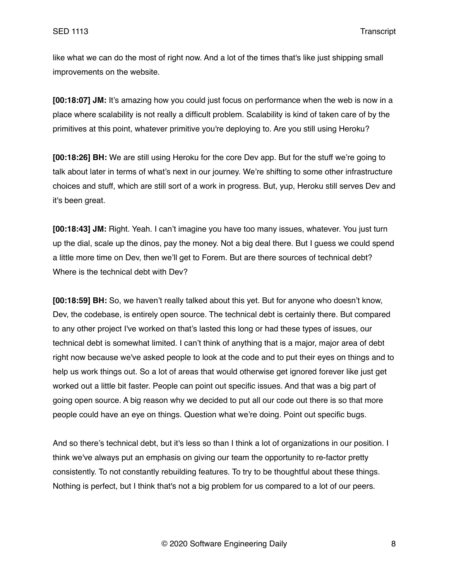like what we can do the most of right now. And a lot of the times that's like just shipping small improvements on the website.

**[00:18:07] JM:** It's amazing how you could just focus on performance when the web is now in a place where scalability is not really a difficult problem. Scalability is kind of taken care of by the primitives at this point, whatever primitive you're deploying to. Are you still using Heroku?

**[00:18:26] BH:** We are still using Heroku for the core Dev app. But for the stuff we're going to talk about later in terms of what's next in our journey. We're shifting to some other infrastructure choices and stuff, which are still sort of a work in progress. But, yup, Heroku still serves Dev and it's been great.

**[00:18:43] JM:** Right. Yeah. I can't imagine you have too many issues, whatever. You just turn up the dial, scale up the dinos, pay the money. Not a big deal there. But I guess we could spend a little more time on Dev, then we'll get to Forem. But are there sources of technical debt? Where is the technical debt with Dev?

**[00:18:59] BH:** So, we haven't really talked about this yet. But for anyone who doesn't know, Dev, the codebase, is entirely open source. The technical debt is certainly there. But compared to any other project I've worked on that's lasted this long or had these types of issues, our technical debt is somewhat limited. I can't think of anything that is a major, major area of debt right now because we've asked people to look at the code and to put their eyes on things and to help us work things out. So a lot of areas that would otherwise get ignored forever like just get worked out a little bit faster. People can point out specific issues. And that was a big part of going open source. A big reason why we decided to put all our code out there is so that more people could have an eye on things. Question what we're doing. Point out specific bugs.

And so there's technical debt, but it's less so than I think a lot of organizations in our position. I think we've always put an emphasis on giving our team the opportunity to re-factor pretty consistently. To not constantly rebuilding features. To try to be thoughtful about these things. Nothing is perfect, but I think that's not a big problem for us compared to a lot of our peers.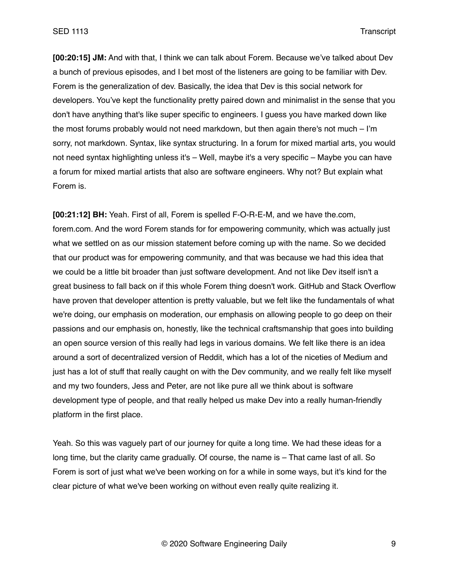**[00:20:15] JM:** And with that, I think we can talk about Forem. Because we've talked about Dev a bunch of previous episodes, and I bet most of the listeners are going to be familiar with Dev. Forem is the generalization of dev. Basically, the idea that Dev is this social network for developers. You've kept the functionality pretty paired down and minimalist in the sense that you don't have anything that's like super specific to engineers. I guess you have marked down like the most forums probably would not need markdown, but then again there's not much – I'm sorry, not markdown. Syntax, like syntax structuring. In a forum for mixed martial arts, you would not need syntax highlighting unless it's – Well, maybe it's a very specific – Maybe you can have a forum for mixed martial artists that also are software engineers. Why not? But explain what Forem is.

**[00:21:12] BH:** Yeah. First of all, Forem is spelled F-O-R-E-M, and we have the.com, forem.com. And the word Forem stands for for empowering community, which was actually just what we settled on as our mission statement before coming up with the name. So we decided that our product was for empowering community, and that was because we had this idea that we could be a little bit broader than just software development. And not like Dev itself isn't a great business to fall back on if this whole Forem thing doesn't work. GitHub and Stack Overflow have proven that developer attention is pretty valuable, but we felt like the fundamentals of what we're doing, our emphasis on moderation, our emphasis on allowing people to go deep on their passions and our emphasis on, honestly, like the technical craftsmanship that goes into building an open source version of this really had legs in various domains. We felt like there is an idea around a sort of decentralized version of Reddit, which has a lot of the niceties of Medium and just has a lot of stuff that really caught on with the Dev community, and we really felt like myself and my two founders, Jess and Peter, are not like pure all we think about is software development type of people, and that really helped us make Dev into a really human-friendly platform in the first place.

Yeah. So this was vaguely part of our journey for quite a long time. We had these ideas for a long time, but the clarity came gradually. Of course, the name is – That came last of all. So Forem is sort of just what we've been working on for a while in some ways, but it's kind for the clear picture of what we've been working on without even really quite realizing it.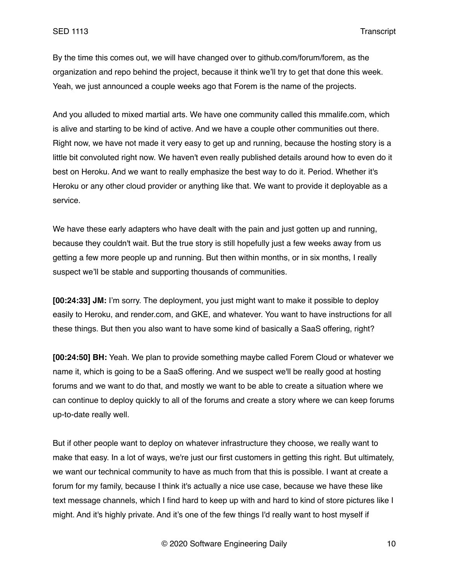By the time this comes out, we will have changed over to github.com/forum/forem, as the organization and repo behind the project, because it think we'll try to get that done this week. Yeah, we just announced a couple weeks ago that Forem is the name of the projects.

And you alluded to mixed martial arts. We have one community called this mmalife.com, which is alive and starting to be kind of active. And we have a couple other communities out there. Right now, we have not made it very easy to get up and running, because the hosting story is a little bit convoluted right now. We haven't even really published details around how to even do it best on Heroku. And we want to really emphasize the best way to do it. Period. Whether it's Heroku or any other cloud provider or anything like that. We want to provide it deployable as a service.

We have these early adapters who have dealt with the pain and just gotten up and running, because they couldn't wait. But the true story is still hopefully just a few weeks away from us getting a few more people up and running. But then within months, or in six months, I really suspect we'll be stable and supporting thousands of communities.

**[00:24:33] JM:** I'm sorry. The deployment, you just might want to make it possible to deploy easily to Heroku, and render.com, and GKE, and whatever. You want to have instructions for all these things. But then you also want to have some kind of basically a SaaS offering, right?

**[00:24:50] BH:** Yeah. We plan to provide something maybe called Forem Cloud or whatever we name it, which is going to be a SaaS offering. And we suspect we'll be really good at hosting forums and we want to do that, and mostly we want to be able to create a situation where we can continue to deploy quickly to all of the forums and create a story where we can keep forums up-to-date really well.

But if other people want to deploy on whatever infrastructure they choose, we really want to make that easy. In a lot of ways, we're just our first customers in getting this right. But ultimately, we want our technical community to have as much from that this is possible. I want at create a forum for my family, because I think it's actually a nice use case, because we have these like text message channels, which I find hard to keep up with and hard to kind of store pictures like I might. And it's highly private. And it's one of the few things I'd really want to host myself if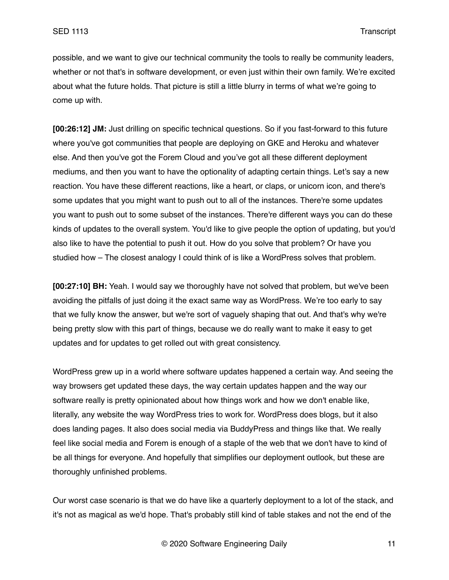possible, and we want to give our technical community the tools to really be community leaders, whether or not that's in software development, or even just within their own family. We're excited about what the future holds. That picture is still a little blurry in terms of what we're going to come up with.

**[00:26:12] JM:** Just drilling on specific technical questions. So if you fast-forward to this future where you've got communities that people are deploying on GKE and Heroku and whatever else. And then you've got the Forem Cloud and you've got all these different deployment mediums, and then you want to have the optionality of adapting certain things. Let's say a new reaction. You have these different reactions, like a heart, or claps, or unicorn icon, and there's some updates that you might want to push out to all of the instances. There're some updates you want to push out to some subset of the instances. There're different ways you can do these kinds of updates to the overall system. You'd like to give people the option of updating, but you'd also like to have the potential to push it out. How do you solve that problem? Or have you studied how – The closest analogy I could think of is like a WordPress solves that problem.

**[00:27:10] BH:** Yeah. I would say we thoroughly have not solved that problem, but we've been avoiding the pitfalls of just doing it the exact same way as WordPress. We're too early to say that we fully know the answer, but we're sort of vaguely shaping that out. And that's why we're being pretty slow with this part of things, because we do really want to make it easy to get updates and for updates to get rolled out with great consistency.

WordPress grew up in a world where software updates happened a certain way. And seeing the way browsers get updated these days, the way certain updates happen and the way our software really is pretty opinionated about how things work and how we don't enable like, literally, any website the way WordPress tries to work for. WordPress does blogs, but it also does landing pages. It also does social media via BuddyPress and things like that. We really feel like social media and Forem is enough of a staple of the web that we don't have to kind of be all things for everyone. And hopefully that simplifies our deployment outlook, but these are thoroughly unfinished problems.

Our worst case scenario is that we do have like a quarterly deployment to a lot of the stack, and it's not as magical as we'd hope. That's probably still kind of table stakes and not the end of the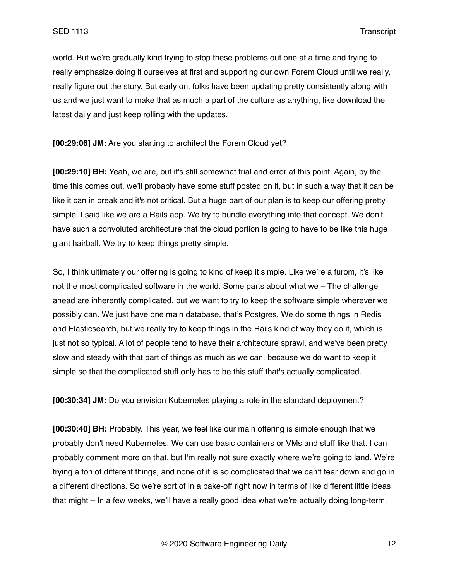world. But we're gradually kind trying to stop these problems out one at a time and trying to really emphasize doing it ourselves at first and supporting our own Forem Cloud until we really, really figure out the story. But early on, folks have been updating pretty consistently along with us and we just want to make that as much a part of the culture as anything, like download the latest daily and just keep rolling with the updates.

**[00:29:06] JM:** Are you starting to architect the Forem Cloud yet?

**[00:29:10] BH:** Yeah, we are, but it's still somewhat trial and error at this point. Again, by the time this comes out, we'll probably have some stuff posted on it, but in such a way that it can be like it can in break and it's not critical. But a huge part of our plan is to keep our offering pretty simple. I said like we are a Rails app. We try to bundle everything into that concept. We don't have such a convoluted architecture that the cloud portion is going to have to be like this huge giant hairball. We try to keep things pretty simple.

So, I think ultimately our offering is going to kind of keep it simple. Like we're a furom, it's like not the most complicated software in the world. Some parts about what we – The challenge ahead are inherently complicated, but we want to try to keep the software simple wherever we possibly can. We just have one main database, that's Postgres. We do some things in Redis and Elasticsearch, but we really try to keep things in the Rails kind of way they do it, which is just not so typical. A lot of people tend to have their architecture sprawl, and we've been pretty slow and steady with that part of things as much as we can, because we do want to keep it simple so that the complicated stuff only has to be this stuff that's actually complicated.

**[00:30:34] JM:** Do you envision Kubernetes playing a role in the standard deployment?

**[00:30:40] BH:** Probably. This year, we feel like our main offering is simple enough that we probably don't need Kubernetes. We can use basic containers or VMs and stuff like that. I can probably comment more on that, but I'm really not sure exactly where we're going to land. We're trying a ton of different things, and none of it is so complicated that we can't tear down and go in a different directions. So we're sort of in a bake-off right now in terms of like different little ideas that might – In a few weeks, we'll have a really good idea what we're actually doing long-term.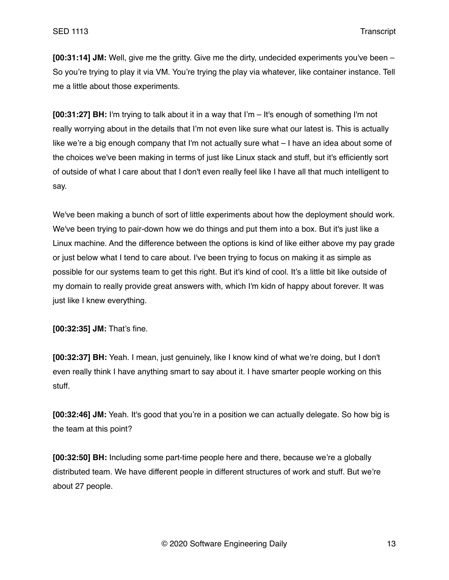**[00:31:14] JM:** Well, give me the gritty. Give me the dirty, undecided experiments you've been – So you're trying to play it via VM. You're trying the play via whatever, like container instance. Tell me a little about those experiments.

**[00:31:27] BH:** I'm trying to talk about it in a way that I'm – It's enough of something I'm not really worrying about in the details that I'm not even like sure what our latest is. This is actually like we're a big enough company that I'm not actually sure what – I have an idea about some of the choices we've been making in terms of just like Linux stack and stuff, but it's efficiently sort of outside of what I care about that I don't even really feel like I have all that much intelligent to say.

We've been making a bunch of sort of little experiments about how the deployment should work. We've been trying to pair-down how we do things and put them into a box. But it's just like a Linux machine. And the difference between the options is kind of like either above my pay grade or just below what I tend to care about. I've been trying to focus on making it as simple as possible for our systems team to get this right. But it's kind of cool. It's a little bit like outside of my domain to really provide great answers with, which I'm kidn of happy about forever. It was just like I knew everything.

**[00:32:35] JM:** That's fine.

**[00:32:37] BH:** Yeah. I mean, just genuinely, like I know kind of what we're doing, but I don't even really think I have anything smart to say about it. I have smarter people working on this stuff.

**[00:32:46] JM:** Yeah. It's good that you're in a position we can actually delegate. So how big is the team at this point?

**[00:32:50] BH:** Including some part-time people here and there, because we're a globally distributed team. We have different people in different structures of work and stuff. But we're about 27 people.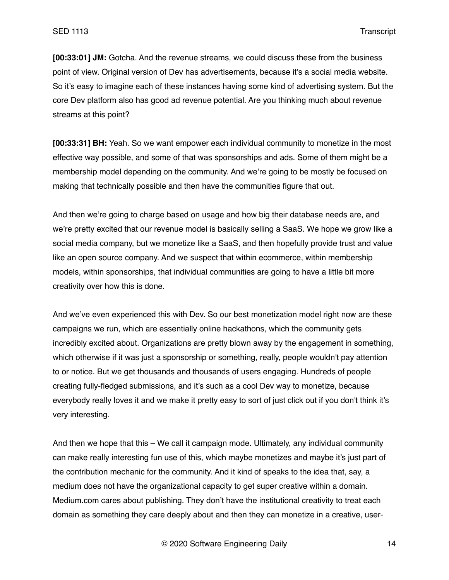**[00:33:01] JM:** Gotcha. And the revenue streams, we could discuss these from the business point of view. Original version of Dev has advertisements, because it's a social media website. So it's easy to imagine each of these instances having some kind of advertising system. But the core Dev platform also has good ad revenue potential. Are you thinking much about revenue streams at this point?

**[00:33:31] BH:** Yeah. So we want empower each individual community to monetize in the most effective way possible, and some of that was sponsorships and ads. Some of them might be a membership model depending on the community. And we're going to be mostly be focused on making that technically possible and then have the communities figure that out.

And then we're going to charge based on usage and how big their database needs are, and we're pretty excited that our revenue model is basically selling a SaaS. We hope we grow like a social media company, but we monetize like a SaaS, and then hopefully provide trust and value like an open source company. And we suspect that within ecommerce, within membership models, within sponsorships, that individual communities are going to have a little bit more creativity over how this is done.

And we've even experienced this with Dev. So our best monetization model right now are these campaigns we run, which are essentially online hackathons, which the community gets incredibly excited about. Organizations are pretty blown away by the engagement in something, which otherwise if it was just a sponsorship or something, really, people wouldn't pay attention to or notice. But we get thousands and thousands of users engaging. Hundreds of people creating fully-fledged submissions, and it's such as a cool Dev way to monetize, because everybody really loves it and we make it pretty easy to sort of just click out if you don't think it's very interesting.

And then we hope that this – We call it campaign mode. Ultimately, any individual community can make really interesting fun use of this, which maybe monetizes and maybe it's just part of the contribution mechanic for the community. And it kind of speaks to the idea that, say, a medium does not have the organizational capacity to get super creative within a domain. Medium.com cares about publishing. They don't have the institutional creativity to treat each domain as something they care deeply about and then they can monetize in a creative, user-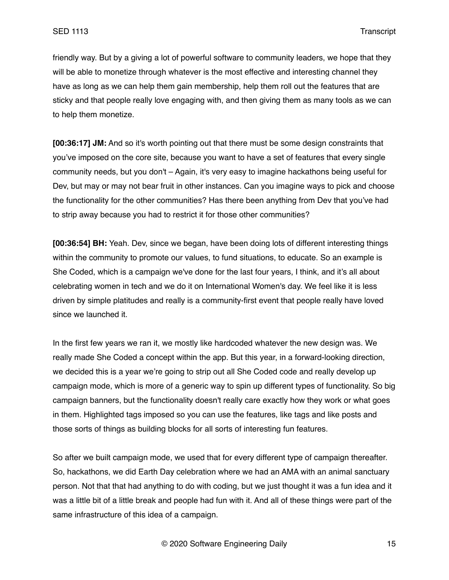friendly way. But by a giving a lot of powerful software to community leaders, we hope that they will be able to monetize through whatever is the most effective and interesting channel they have as long as we can help them gain membership, help them roll out the features that are sticky and that people really love engaging with, and then giving them as many tools as we can to help them monetize.

**[00:36:17] JM:** And so it's worth pointing out that there must be some design constraints that you've imposed on the core site, because you want to have a set of features that every single community needs, but you don't – Again, it's very easy to imagine hackathons being useful for Dev, but may or may not bear fruit in other instances. Can you imagine ways to pick and choose the functionality for the other communities? Has there been anything from Dev that you've had to strip away because you had to restrict it for those other communities?

**[00:36:54] BH:** Yeah. Dev, since we began, have been doing lots of different interesting things within the community to promote our values, to fund situations, to educate. So an example is She Coded, which is a campaign we've done for the last four years, I think, and it's all about celebrating women in tech and we do it on International Women's day. We feel like it is less driven by simple platitudes and really is a community-first event that people really have loved since we launched it.

In the first few years we ran it, we mostly like hardcoded whatever the new design was. We really made She Coded a concept within the app. But this year, in a forward-looking direction, we decided this is a year we're going to strip out all She Coded code and really develop up campaign mode, which is more of a generic way to spin up different types of functionality. So big campaign banners, but the functionality doesn't really care exactly how they work or what goes in them. Highlighted tags imposed so you can use the features, like tags and like posts and those sorts of things as building blocks for all sorts of interesting fun features.

So after we built campaign mode, we used that for every different type of campaign thereafter. So, hackathons, we did Earth Day celebration where we had an AMA with an animal sanctuary person. Not that that had anything to do with coding, but we just thought it was a fun idea and it was a little bit of a little break and people had fun with it. And all of these things were part of the same infrastructure of this idea of a campaign.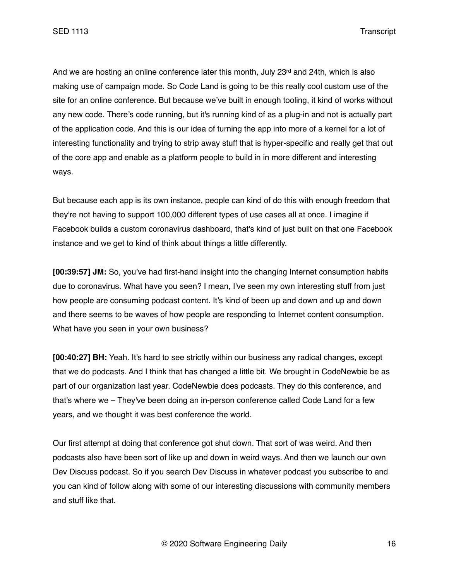And we are hosting an online conference later this month, July 23rd and 24th, which is also making use of campaign mode. So Code Land is going to be this really cool custom use of the site for an online conference. But because we've built in enough tooling, it kind of works without any new code. There's code running, but it's running kind of as a plug-in and not is actually part of the application code. And this is our idea of turning the app into more of a kernel for a lot of interesting functionality and trying to strip away stuff that is hyper-specific and really get that out of the core app and enable as a platform people to build in in more different and interesting ways.

But because each app is its own instance, people can kind of do this with enough freedom that they're not having to support 100,000 different types of use cases all at once. I imagine if Facebook builds a custom coronavirus dashboard, that's kind of just built on that one Facebook instance and we get to kind of think about things a little differently.

**[00:39:57] JM:** So, you've had first-hand insight into the changing Internet consumption habits due to coronavirus. What have you seen? I mean, I've seen my own interesting stuff from just how people are consuming podcast content. It's kind of been up and down and up and down and there seems to be waves of how people are responding to Internet content consumption. What have you seen in your own business?

**[00:40:27] BH:** Yeah. It's hard to see strictly within our business any radical changes, except that we do podcasts. And I think that has changed a little bit. We brought in CodeNewbie be as part of our organization last year. CodeNewbie does podcasts. They do this conference, and that's where we – They've been doing an in-person conference called Code Land for a few years, and we thought it was best conference the world.

Our first attempt at doing that conference got shut down. That sort of was weird. And then podcasts also have been sort of like up and down in weird ways. And then we launch our own Dev Discuss podcast. So if you search Dev Discuss in whatever podcast you subscribe to and you can kind of follow along with some of our interesting discussions with community members and stuff like that.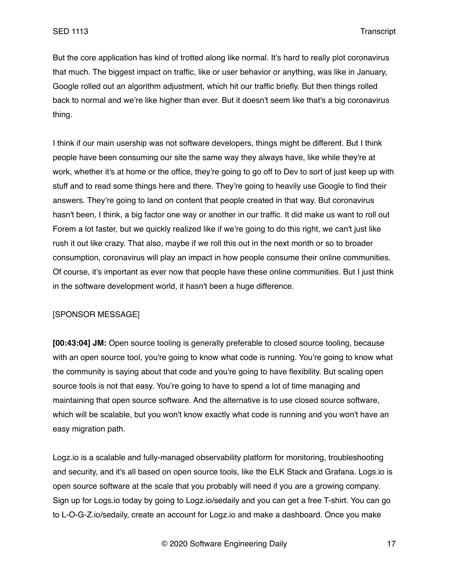But the core application has kind of trotted along like normal. It's hard to really plot coronavirus that much. The biggest impact on traffic, like or user behavior or anything, was like in January, Google rolled out an algorithm adjustment, which hit our traffic briefly. But then things rolled back to normal and we're like higher than ever. But it doesn't seem like that's a big coronavirus thing.

I think if our main usership was not software developers, things might be different. But I think people have been consuming our site the same way they always have, like while they're at work, whether it's at home or the office, they're going to go off to Dev to sort of just keep up with stuff and to read some things here and there. They're going to heavily use Google to find their answers. They're going to land on content that people created in that way. But coronavirus hasn't been, I think, a big factor one way or another in our traffic. It did make us want to roll out Forem a lot faster, but we quickly realized like if we're going to do this right, we can't just like rush it out like crazy. That also, maybe if we roll this out in the next month or so to broader consumption, coronavirus will play an impact in how people consume their online communities. Of course, it's important as ever now that people have these online communities. But I just think in the software development world, it hasn't been a huge difference.

### [SPONSOR MESSAGE]

**[00:43:04] JM:** Open source tooling is generally preferable to closed source tooling, because with an open source tool, you're going to know what code is running. You're going to know what the community is saying about that code and you're going to have flexibility. But scaling open source tools is not that easy. You're going to have to spend a lot of time managing and maintaining that open source software. And the alternative is to use closed source software, which will be scalable, but you won't know exactly what code is running and you won't have an easy migration path.

Logz.io is a scalable and fully-managed observability platform for monitoring, troubleshooting and security, and it's all based on open source tools, like the ELK Stack and Grafana. Logs.io is open source software at the scale that you probably will need if you are a growing company. Sign up for Logs.io today by going to Logz.io/sedaily and you can get a free T-shirt. You can go to L-O-G-Z.io/sedaily, create an account for Logz.io and make a dashboard. Once you make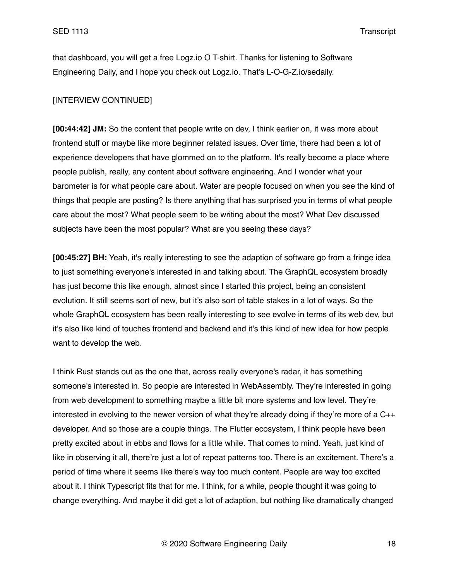that dashboard, you will get a free Logz.io O T-shirt. Thanks for listening to Software Engineering Daily, and I hope you check out Logz.io. That's L-O-G-Z.io/sedaily.

### [INTERVIEW CONTINUED]

**[00:44:42] JM:** So the content that people write on dev, I think earlier on, it was more about frontend stuff or maybe like more beginner related issues. Over time, there had been a lot of experience developers that have glommed on to the platform. It's really become a place where people publish, really, any content about software engineering. And I wonder what your barometer is for what people care about. Water are people focused on when you see the kind of things that people are posting? Is there anything that has surprised you in terms of what people care about the most? What people seem to be writing about the most? What Dev discussed subjects have been the most popular? What are you seeing these days?

**[00:45:27] BH:** Yeah, it's really interesting to see the adaption of software go from a fringe idea to just something everyone's interested in and talking about. The GraphQL ecosystem broadly has just become this like enough, almost since I started this project, being an consistent evolution. It still seems sort of new, but it's also sort of table stakes in a lot of ways. So the whole GraphQL ecosystem has been really interesting to see evolve in terms of its web dev, but it's also like kind of touches frontend and backend and it's this kind of new idea for how people want to develop the web.

I think Rust stands out as the one that, across really everyone's radar, it has something someone's interested in. So people are interested in WebAssembly. They're interested in going from web development to something maybe a little bit more systems and low level. They're interested in evolving to the newer version of what they're already doing if they're more of a C++ developer. And so those are a couple things. The Flutter ecosystem, I think people have been pretty excited about in ebbs and flows for a little while. That comes to mind. Yeah, just kind of like in observing it all, there're just a lot of repeat patterns too. There is an excitement. There's a period of time where it seems like there's way too much content. People are way too excited about it. I think Typescript fits that for me. I think, for a while, people thought it was going to change everything. And maybe it did get a lot of adaption, but nothing like dramatically changed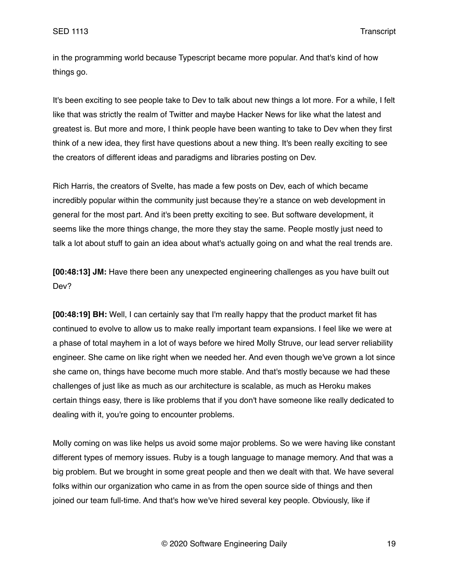in the programming world because Typescript became more popular. And that's kind of how things go.

It's been exciting to see people take to Dev to talk about new things a lot more. For a while, I felt like that was strictly the realm of Twitter and maybe Hacker News for like what the latest and greatest is. But more and more, I think people have been wanting to take to Dev when they first think of a new idea, they first have questions about a new thing. It's been really exciting to see the creators of different ideas and paradigms and libraries posting on Dev.

Rich Harris, the creators of Svelte, has made a few posts on Dev, each of which became incredibly popular within the community just because they're a stance on web development in general for the most part. And it's been pretty exciting to see. But software development, it seems like the more things change, the more they stay the same. People mostly just need to talk a lot about stuff to gain an idea about what's actually going on and what the real trends are.

**[00:48:13] JM:** Have there been any unexpected engineering challenges as you have built out Dev?

**[00:48:19] BH:** Well, I can certainly say that I'm really happy that the product market fit has continued to evolve to allow us to make really important team expansions. I feel like we were at a phase of total mayhem in a lot of ways before we hired Molly Struve, our lead server reliability engineer. She came on like right when we needed her. And even though we've grown a lot since she came on, things have become much more stable. And that's mostly because we had these challenges of just like as much as our architecture is scalable, as much as Heroku makes certain things easy, there is like problems that if you don't have someone like really dedicated to dealing with it, you're going to encounter problems.

Molly coming on was like helps us avoid some major problems. So we were having like constant different types of memory issues. Ruby is a tough language to manage memory. And that was a big problem. But we brought in some great people and then we dealt with that. We have several folks within our organization who came in as from the open source side of things and then joined our team full-time. And that's how we've hired several key people. Obviously, like if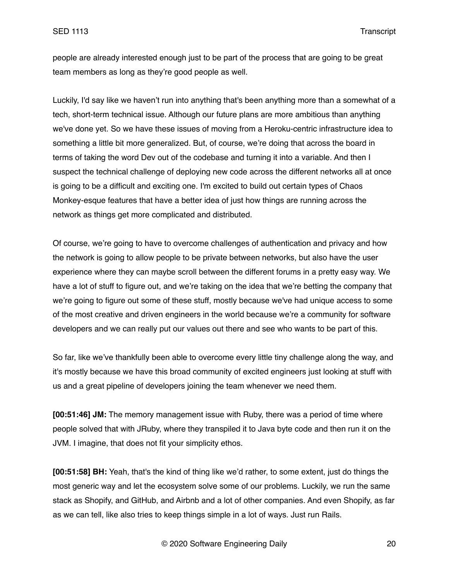people are already interested enough just to be part of the process that are going to be great team members as long as they're good people as well.

Luckily, I'd say like we haven't run into anything that's been anything more than a somewhat of a tech, short-term technical issue. Although our future plans are more ambitious than anything we've done yet. So we have these issues of moving from a Heroku-centric infrastructure idea to something a little bit more generalized. But, of course, we're doing that across the board in terms of taking the word Dev out of the codebase and turning it into a variable. And then I suspect the technical challenge of deploying new code across the different networks all at once is going to be a difficult and exciting one. I'm excited to build out certain types of Chaos Monkey-esque features that have a better idea of just how things are running across the network as things get more complicated and distributed.

Of course, we're going to have to overcome challenges of authentication and privacy and how the network is going to allow people to be private between networks, but also have the user experience where they can maybe scroll between the different forums in a pretty easy way. We have a lot of stuff to figure out, and we're taking on the idea that we're betting the company that we're going to figure out some of these stuff, mostly because we've had unique access to some of the most creative and driven engineers in the world because we're a community for software developers and we can really put our values out there and see who wants to be part of this.

So far, like we've thankfully been able to overcome every little tiny challenge along the way, and it's mostly because we have this broad community of excited engineers just looking at stuff with us and a great pipeline of developers joining the team whenever we need them.

**[00:51:46] JM:** The memory management issue with Ruby, there was a period of time where people solved that with JRuby, where they transpiled it to Java byte code and then run it on the JVM. I imagine, that does not fit your simplicity ethos.

**[00:51:58] BH:** Yeah, that's the kind of thing like we'd rather, to some extent, just do things the most generic way and let the ecosystem solve some of our problems. Luckily, we run the same stack as Shopify, and GitHub, and Airbnb and a lot of other companies. And even Shopify, as far as we can tell, like also tries to keep things simple in a lot of ways. Just run Rails.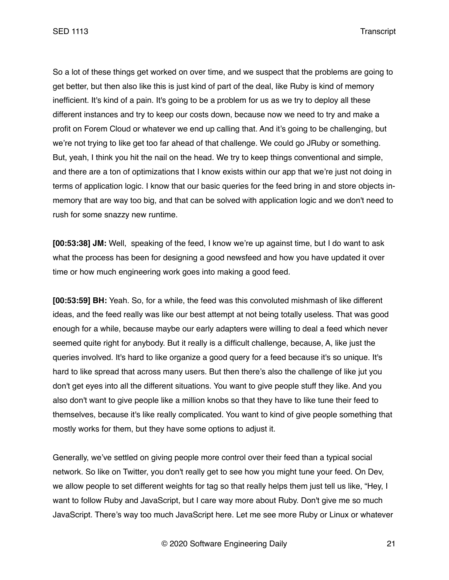SED 1113 Transcript

So a lot of these things get worked on over time, and we suspect that the problems are going to get better, but then also like this is just kind of part of the deal, like Ruby is kind of memory inefficient. It's kind of a pain. It's going to be a problem for us as we try to deploy all these different instances and try to keep our costs down, because now we need to try and make a profit on Forem Cloud or whatever we end up calling that. And it's going to be challenging, but we're not trying to like get too far ahead of that challenge. We could go JRuby or something. But, yeah, I think you hit the nail on the head. We try to keep things conventional and simple, and there are a ton of optimizations that I know exists within our app that we're just not doing in terms of application logic. I know that our basic queries for the feed bring in and store objects inmemory that are way too big, and that can be solved with application logic and we don't need to rush for some snazzy new runtime.

**[00:53:38] JM:** Well, speaking of the feed, I know we're up against time, but I do want to ask what the process has been for designing a good newsfeed and how you have updated it over time or how much engineering work goes into making a good feed.

**[00:53:59] BH:** Yeah. So, for a while, the feed was this convoluted mishmash of like different ideas, and the feed really was like our best attempt at not being totally useless. That was good enough for a while, because maybe our early adapters were willing to deal a feed which never seemed quite right for anybody. But it really is a difficult challenge, because, A, like just the queries involved. It's hard to like organize a good query for a feed because it's so unique. It's hard to like spread that across many users. But then there's also the challenge of like jut you don't get eyes into all the different situations. You want to give people stuff they like. And you also don't want to give people like a million knobs so that they have to like tune their feed to themselves, because it's like really complicated. You want to kind of give people something that mostly works for them, but they have some options to adjust it.

Generally, we've settled on giving people more control over their feed than a typical social network. So like on Twitter, you don't really get to see how you might tune your feed. On Dev, we allow people to set different weights for tag so that really helps them just tell us like, "Hey, I want to follow Ruby and JavaScript, but I care way more about Ruby. Don't give me so much JavaScript. There's way too much JavaScript here. Let me see more Ruby or Linux or whatever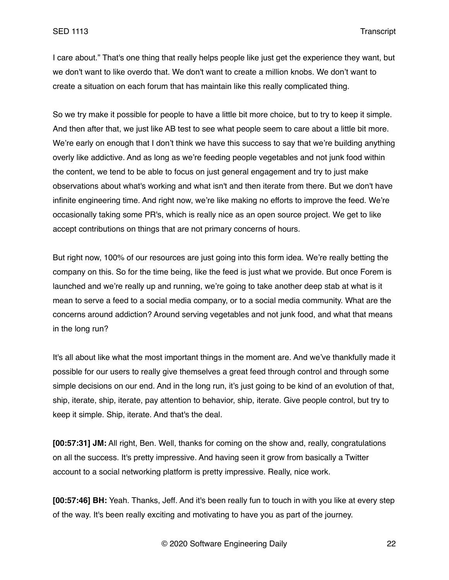I care about." That's one thing that really helps people like just get the experience they want, but we don't want to like overdo that. We don't want to create a million knobs. We don't want to create a situation on each forum that has maintain like this really complicated thing.

So we try make it possible for people to have a little bit more choice, but to try to keep it simple. And then after that, we just like AB test to see what people seem to care about a little bit more. We're early on enough that I don't think we have this success to say that we're building anything overly like addictive. And as long as we're feeding people vegetables and not junk food within the content, we tend to be able to focus on just general engagement and try to just make observations about what's working and what isn't and then iterate from there. But we don't have infinite engineering time. And right now, we're like making no efforts to improve the feed. We're occasionally taking some PR's, which is really nice as an open source project. We get to like accept contributions on things that are not primary concerns of hours.

But right now, 100% of our resources are just going into this form idea. We're really betting the company on this. So for the time being, like the feed is just what we provide. But once Forem is launched and we're really up and running, we're going to take another deep stab at what is it mean to serve a feed to a social media company, or to a social media community. What are the concerns around addiction? Around serving vegetables and not junk food, and what that means in the long run?

It's all about like what the most important things in the moment are. And we've thankfully made it possible for our users to really give themselves a great feed through control and through some simple decisions on our end. And in the long run, it's just going to be kind of an evolution of that, ship, iterate, ship, iterate, pay attention to behavior, ship, iterate. Give people control, but try to keep it simple. Ship, iterate. And that's the deal.

**[00:57:31] JM:** All right, Ben. Well, thanks for coming on the show and, really, congratulations on all the success. It's pretty impressive. And having seen it grow from basically a Twitter account to a social networking platform is pretty impressive. Really, nice work.

**[00:57:46] BH:** Yeah. Thanks, Jeff. And it's been really fun to touch in with you like at every step of the way. It's been really exciting and motivating to have you as part of the journey.